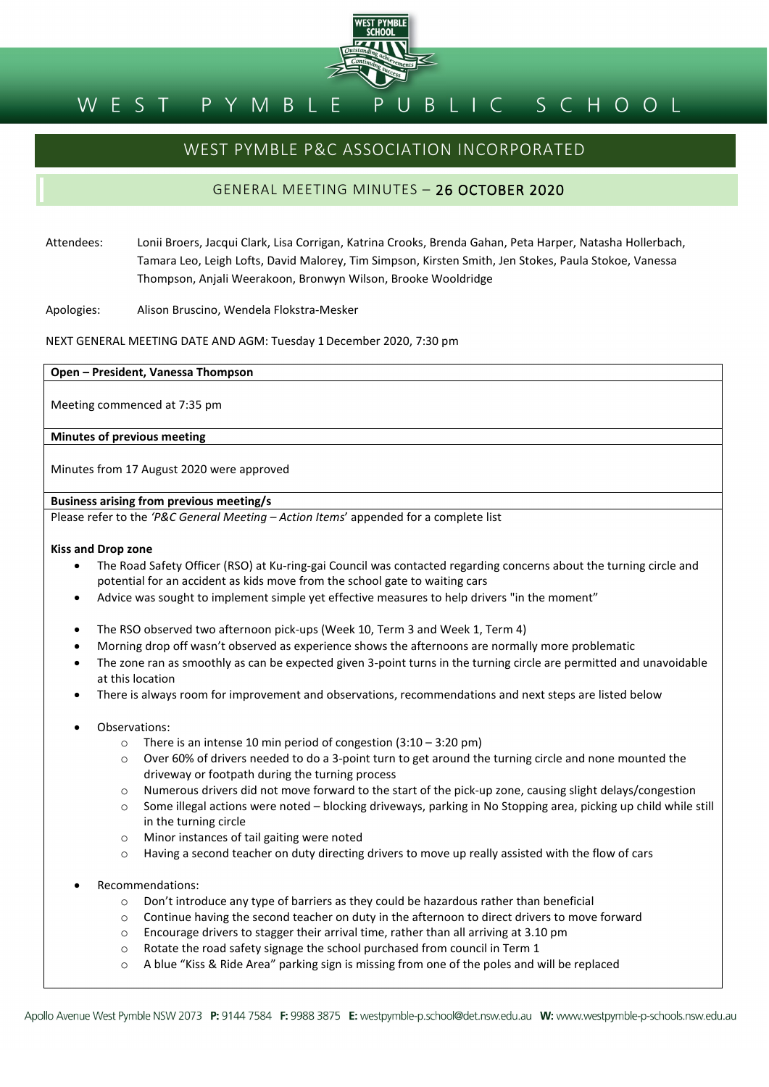

#### BLIC SCHOOL PYMBL WEST

## WEST PYMBLE P&C ASSOCIATION INCORPORATED

## GENERAL MEETING MINUTES – 26 OCTOBER 2020

- Attendees: Lonii Broers, Jacqui Clark, Lisa Corrigan, Katrina Crooks, Brenda Gahan, Peta Harper, Natasha Hollerbach, Tamara Leo, Leigh Lofts, David Malorey, Tim Simpson, Kirsten Smith, Jen Stokes, Paula Stokoe, Vanessa Thompson, Anjali Weerakoon, Bronwyn Wilson, Brooke Wooldridge
- Apologies: Alison Bruscino, Wendela Flokstra-Mesker

NEXT GENERAL MEETING DATE AND AGM: Tuesday 1December 2020, 7:30 pm

#### **Open – President, Vanessa Thompson**

Meeting commenced at 7:35 pm

#### **Minutes of previous meeting**

Minutes from 17 August 2020 were approved

#### **Business arising from previous meeting/s**

Please refer to the *'P&C General Meeting – Action Items*' appended for a complete list

#### **Kiss and Drop zone**

- The Road Safety Officer (RSO) at Ku-ring-gai Council was contacted regarding concerns about the turning circle and potential for an accident as kids move from the school gate to waiting cars
- Advice was sought to implement simple yet effective measures to help drivers "in the moment"
- The RSO observed two afternoon pick-ups (Week 10, Term 3 and Week 1, Term 4)
- Morning drop off wasn't observed as experience shows the afternoons are normally more problematic
- The zone ran as smoothly as can be expected given 3-point turns in the turning circle are permitted and unavoidable at this location
- There is always room for improvement and observations, recommendations and next steps are listed below
- Observations:
	- o There is an intense 10 min period of congestion (3:10 3:20 pm)
	- o Over 60% of drivers needed to do a 3-point turn to get around the turning circle and none mounted the driveway or footpath during the turning process
	- o Numerous drivers did not move forward to the start of the pick-up zone, causing slight delays/congestion
	- o Some illegal actions were noted blocking driveways, parking in No Stopping area, picking up child while still in the turning circle
	- o Minor instances of tail gaiting were noted
	- o Having a second teacher on duty directing drivers to move up really assisted with the flow of cars
- Recommendations:
	- $\circ$  Don't introduce any type of barriers as they could be hazardous rather than beneficial
	- o Continue having the second teacher on duty in the afternoon to direct drivers to move forward
	- o Encourage drivers to stagger their arrival time, rather than all arriving at 3.10 pm
	- o Rotate the road safety signage the school purchased from council in Term 1
	- o A blue "Kiss & Ride Area" parking sign is missing from one of the poles and will be replaced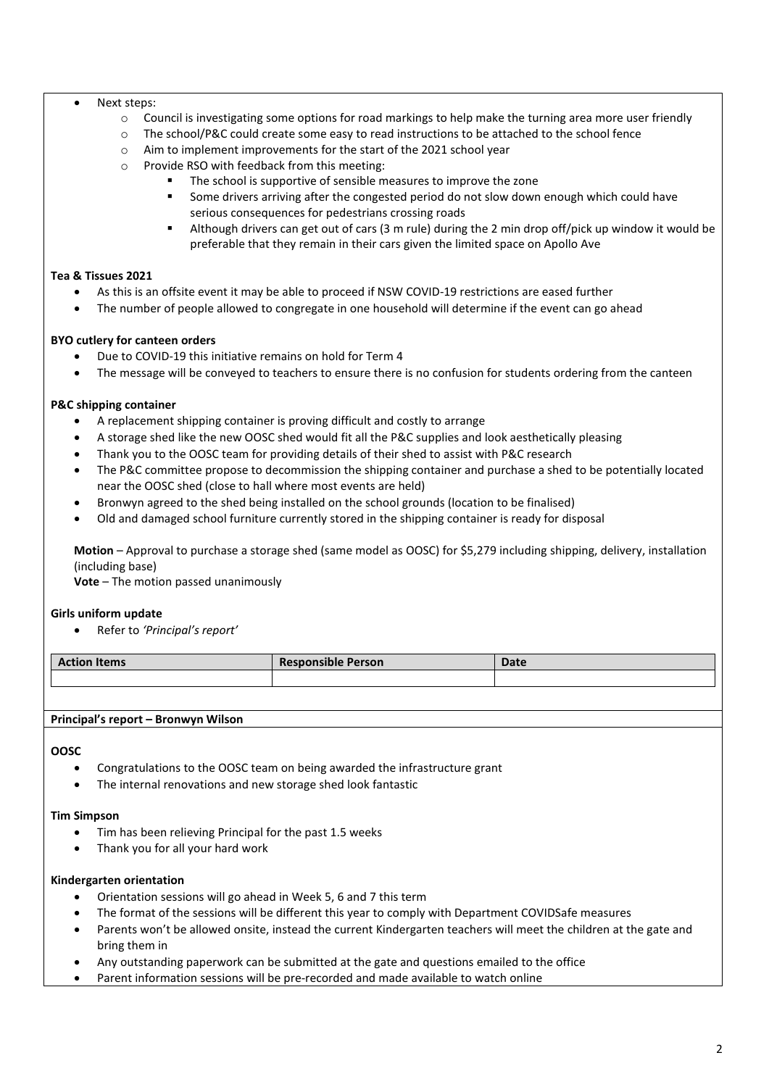#### • Next steps:

- $\circ$  Council is investigating some options for road markings to help make the turning area more user friendly
- o The school/P&C could create some easy to read instructions to be attached to the school fence
- o Aim to implement improvements for the start of the 2021 school year
- o Provide RSO with feedback from this meeting:
	- The school is supportive of sensible measures to improve the zone
	- Some drivers arriving after the congested period do not slow down enough which could have serious consequences for pedestrians crossing roads
	- Although drivers can get out of cars (3 m rule) during the 2 min drop off/pick up window it would be preferable that they remain in their cars given the limited space on Apollo Ave

#### **Tea & Tissues 2021**

- As this is an offsite event it may be able to proceed if NSW COVID-19 restrictions are eased further
- The number of people allowed to congregate in one household will determine if the event can go ahead

#### **BYO cutlery for canteen orders**

- Due to COVID-19 this initiative remains on hold for Term 4
- The message will be conveyed to teachers to ensure there is no confusion for students ordering from the canteen

## **P&C shipping container**

- A replacement shipping container is proving difficult and costly to arrange
- A storage shed like the new OOSC shed would fit all the P&C supplies and look aesthetically pleasing
- Thank you to the OOSC team for providing details of their shed to assist with P&C research
- The P&C committee propose to decommission the shipping container and purchase a shed to be potentially located near the OOSC shed (close to hall where most events are held)
- Bronwyn agreed to the shed being installed on the school grounds (location to be finalised)
- Old and damaged school furniture currently stored in the shipping container is ready for disposal

**Motion** – Approval to purchase a storage shed (same model as OOSC) for \$5,279 including shipping, delivery, installation (including base)

**Vote** – The motion passed unanimously

## **Girls uniform update**

• Refer to *'Principal's report'*

| <b>Action Items</b> | <b>Responsible Person</b> | <b>Date</b> |
|---------------------|---------------------------|-------------|
|                     |                           |             |

#### **Principal's report – Bronwyn Wilson**

#### **OOSC**

- Congratulations to the OOSC team on being awarded the infrastructure grant
- The internal renovations and new storage shed look fantastic

#### **Tim Simpson**

- Tim has been relieving Principal for the past 1.5 weeks
- Thank you for all your hard work

#### **Kindergarten orientation**

- Orientation sessions will go ahead in Week 5, 6 and 7 this term
- The format of the sessions will be different this year to comply with Department COVIDSafe measures
- Parents won't be allowed onsite, instead the current Kindergarten teachers will meet the children at the gate and bring them in
- Any outstanding paperwork can be submitted at the gate and questions emailed to the office
- Parent information sessions will be pre-recorded and made available to watch online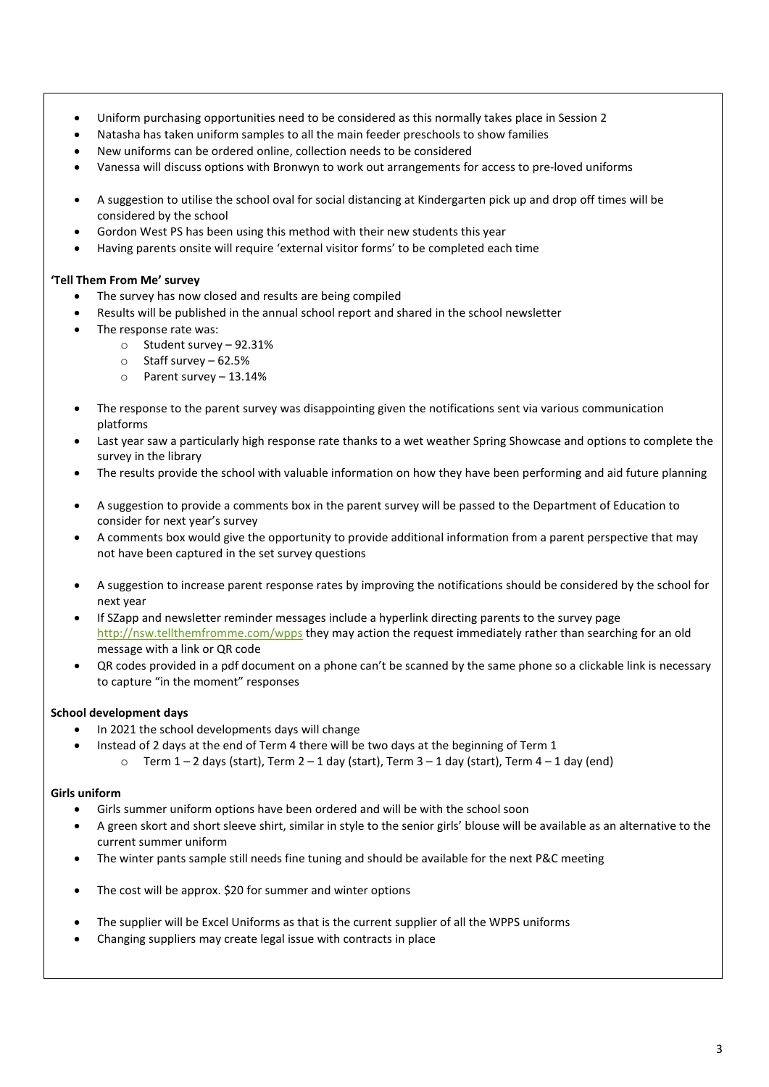- Uniform purchasing opportunities need to be considered as this normally takes place in Session 2
- Natasha has taken uniform samples to all the main feeder preschools to show families
- New uniforms can be ordered online, collection needs to be considered
- Vanessa will discuss options with Bronwyn to work out arrangements for access to pre-loved uniforms
- A suggestion to utilise the school oval for social distancing at Kindergarten pick up and drop off times will be considered by the school
- Gordon West PS has been using this method with their new students this year
- Having parents onsite will require 'external visitor forms' to be completed each time

#### **'Tell Them From Me' survey**

- The survey has now closed and results are being compiled
- Results will be published in the annual school report and shared in the school newsletter
- The response rate was:
	- o Student survey 92.31%
	- o Staff survey 62.5%
	- o Parent survey 13.14%
- The response to the parent survey was disappointing given the notifications sent via various communication platforms
- Last year saw a particularly high response rate thanks to a wet weather Spring Showcase and options to complete the survey in the library
- The results provide the school with valuable information on how they have been performing and aid future planning
- A suggestion to provide a comments box in the parent survey will be passed to the Department of Education to consider for next year's survey
- A comments box would give the opportunity to provide additional information from a parent perspective that may not have been captured in the set survey questions
- A suggestion to increase parent response rates by improving the notifications should be considered by the school for next year
- If SZapp and newsletter reminder messages include a hyperlink directing parents to the survey page <http://nsw.tellthemfromme.com/wpps> they may action the request immediately rather than searching for an old message with a link or QR code
- QR codes provided in a pdf document on a phone can't be scanned by the same phone so a clickable link is necessary to capture "in the moment" responses

## **School development days**

- In 2021 the school developments days will change
- Instead of 2 days at the end of Term 4 there will be two days at the beginning of Term 1  $\circ$  Term 1 – 2 days (start), Term 2 – 1 day (start), Term 3 – 1 day (start), Term 4 – 1 day (end)

#### **Girls uniform**

- Girls summer uniform options have been ordered and will be with the school soon
- A green skort and short sleeve shirt, similar in style to the senior girls' blouse will be available as an alternative to the current summer uniform
- The winter pants sample still needs fine tuning and should be available for the next P&C meeting
- The cost will be approx. \$20 for summer and winter options
- The supplier will be Excel Uniforms as that is the current supplier of all the WPPS uniforms
- Changing suppliers may create legal issue with contracts in place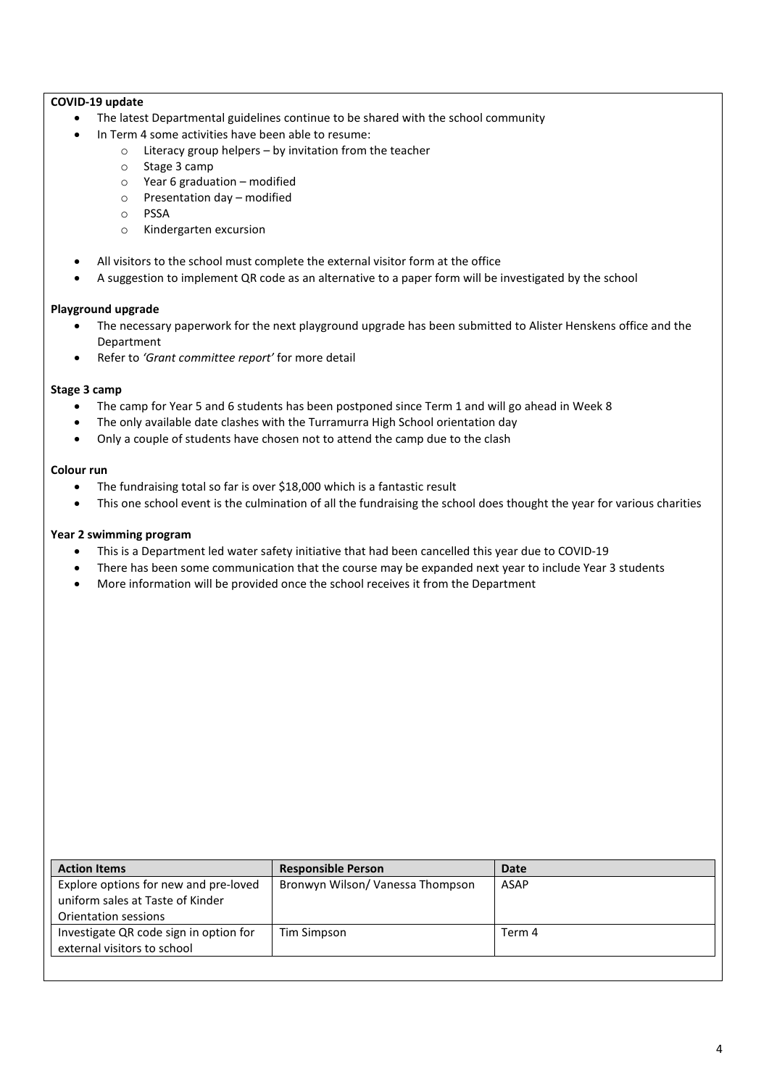#### **COVID-19 update**

- The latest Departmental guidelines continue to be shared with the school community
- In Term 4 some activities have been able to resume:
	- $\circ$  Literacy group helpers by invitation from the teacher  $\circ$  Stage 3 camp
		- Stage 3 camp
		- o Year 6 graduation modified
		- o Presentation day modified
		- o PSSA
		- o Kindergarten excursion
- All visitors to the school must complete the external visitor form at the office
- A suggestion to implement QR code as an alternative to a paper form will be investigated by the school

#### **Playground upgrade**

- The necessary paperwork for the next playground upgrade has been submitted to Alister Henskens office and the Department
- Refer to *'Grant committee report'* for more detail

#### **Stage 3 camp**

- The camp for Year 5 and 6 students has been postponed since Term 1 and will go ahead in Week 8
- The only available date clashes with the Turramurra High School orientation day
- Only a couple of students have chosen not to attend the camp due to the clash

#### **Colour run**

- The fundraising total so far is over \$18,000 which is a fantastic result
- This one school event is the culmination of all the fundraising the school does thought the year for various charities

#### **Year 2 swimming program**

- This is a Department led water safety initiative that had been cancelled this year due to COVID-19
- There has been some communication that the course may be expanded next year to include Year 3 students
- More information will be provided once the school receives it from the Department

| <b>Action Items</b>                                                                               | <b>Responsible Person</b>        | <b>Date</b> |
|---------------------------------------------------------------------------------------------------|----------------------------------|-------------|
| Explore options for new and pre-loved<br>uniform sales at Taste of Kinder<br>Orientation sessions | Bronwyn Wilson/ Vanessa Thompson | ASAP        |
| Investigate QR code sign in option for<br>external visitors to school                             | Tim Simpson                      | Term 4      |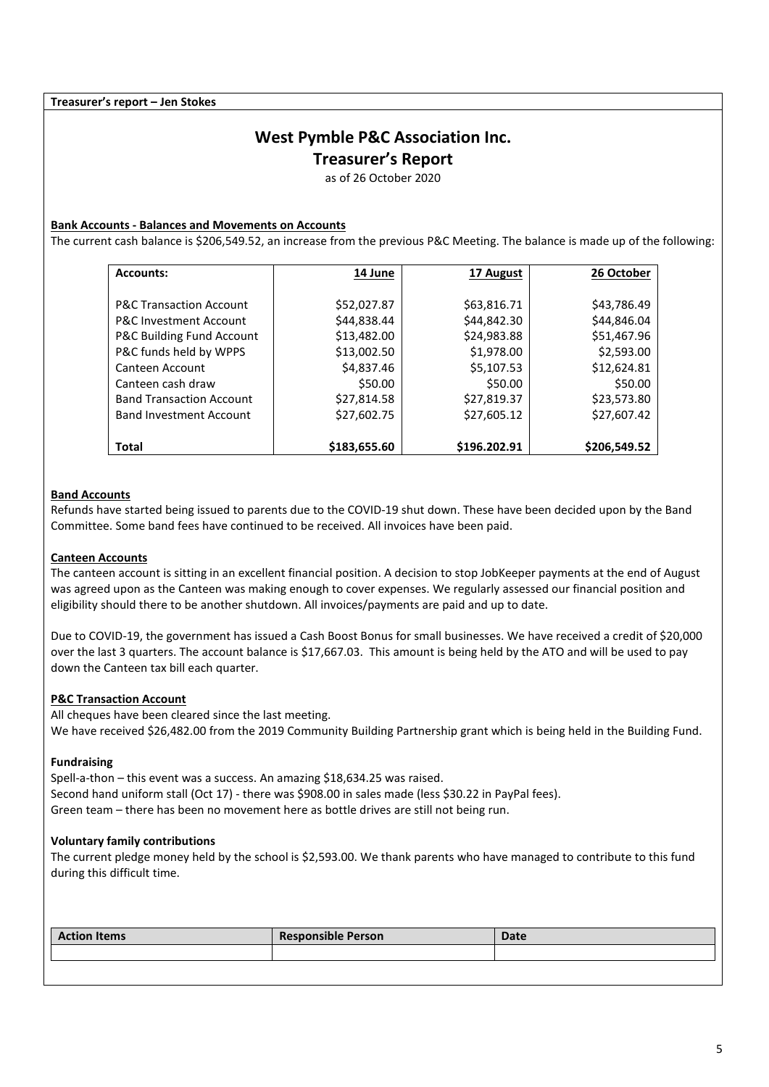**Treasurer's report – Jen Stokes**

# **West Pymble P&C Association Inc.**

**Treasurer's Report**

as of 26 October 2020

#### **Bank Accounts - Balances and Movements on Accounts**

The current cash balance is \$206,549.52, an increase from the previous P&C Meeting. The balance is made up of the following:

| <b>Accounts:</b>                   | 14 June      | 17 August    | 26 October   |
|------------------------------------|--------------|--------------|--------------|
|                                    |              |              |              |
| <b>P&amp;C Transaction Account</b> | \$52,027.87  | \$63,816.71  | \$43,786.49  |
| <b>P&amp;C Investment Account</b>  | \$44,838.44  | \$44,842.30  | \$44,846.04  |
| P&C Building Fund Account          | \$13,482.00  | \$24,983.88  | \$51,467.96  |
| P&C funds held by WPPS             | \$13,002.50  | \$1,978.00   | \$2,593.00   |
| Canteen Account                    | \$4,837.46   | \$5,107.53   | \$12,624.81  |
| Canteen cash draw                  | \$50.00      | \$50.00      | \$50.00      |
| <b>Band Transaction Account</b>    | \$27,814.58  | \$27,819.37  | \$23,573.80  |
| <b>Band Investment Account</b>     | \$27,602.75  | \$27,605.12  | \$27,607.42  |
|                                    |              |              |              |
| <b>Total</b>                       | \$183,655.60 | \$196.202.91 | \$206,549.52 |

#### **Band Accounts**

Refunds have started being issued to parents due to the COVID-19 shut down. These have been decided upon by the Band Committee. Some band fees have continued to be received. All invoices have been paid.

#### **Canteen Accounts**

The canteen account is sitting in an excellent financial position. A decision to stop JobKeeper payments at the end of August was agreed upon as the Canteen was making enough to cover expenses. We regularly assessed our financial position and eligibility should there to be another shutdown. All invoices/payments are paid and up to date.

Due to COVID-19, the government has issued a Cash Boost Bonus for small businesses. We have received a credit of \$20,000 over the last 3 quarters. The account balance is \$17,667.03. This amount is being held by the ATO and will be used to pay down the Canteen tax bill each quarter.

#### **P&C Transaction Account**

All cheques have been cleared since the last meeting. We have received \$26,482.00 from the 2019 Community Building Partnership grant which is being held in the Building Fund.

#### **Fundraising**

Spell-a-thon – this event was a success. An amazing \$18,634.25 was raised. Second hand uniform stall (Oct 17) - there was \$908.00 in sales made (less \$30.22 in PayPal fees). Green team – there has been no movement here as bottle drives are still not being run.

#### **Voluntary family contributions**

The current pledge money held by the school is \$2,593.00. We thank parents who have managed to contribute to this fund during this difficult time.

| <b>Action Items</b> | <b>Responsible Person</b> | <b>Date</b> |
|---------------------|---------------------------|-------------|
|                     |                           |             |
|                     |                           |             |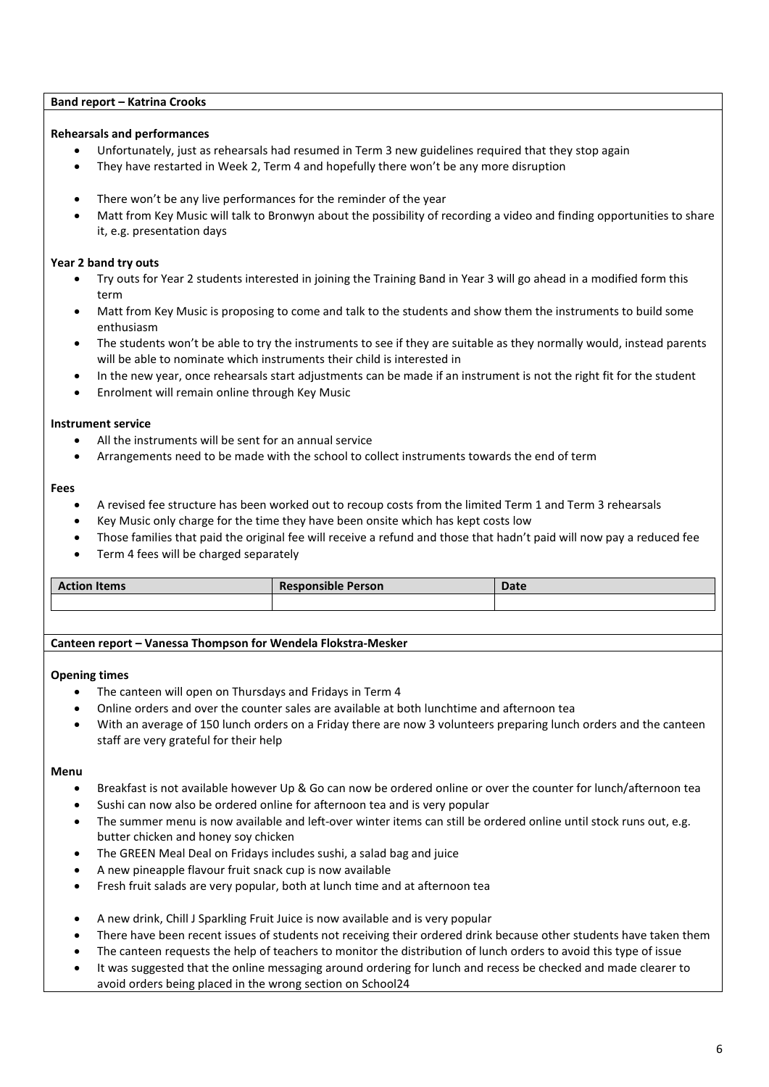#### **Band report – Katrina Crooks**

#### **Rehearsals and performances**

- Unfortunately, just as rehearsals had resumed in Term 3 new guidelines required that they stop again
- They have restarted in Week 2, Term 4 and hopefully there won't be any more disruption
- There won't be any live performances for the reminder of the year
- Matt from Key Music will talk to Bronwyn about the possibility of recording a video and finding opportunities to share it, e.g. presentation days

#### **Year 2 band try outs**

- Try outs for Year 2 students interested in joining the Training Band in Year 3 will go ahead in a modified form this term
- Matt from Key Music is proposing to come and talk to the students and show them the instruments to build some enthusiasm
- The students won't be able to try the instruments to see if they are suitable as they normally would, instead parents will be able to nominate which instruments their child is interested in
- In the new year, once rehearsals start adjustments can be made if an instrument is not the right fit for the student
- Enrolment will remain online through Key Music

#### **Instrument service**

- All the instruments will be sent for an annual service
- Arrangements need to be made with the school to collect instruments towards the end of term

#### **Fees**

- A revised fee structure has been worked out to recoup costs from the limited Term 1 and Term 3 rehearsals
- Key Music only charge for the time they have been onsite which has kept costs low
- Those families that paid the original fee will receive a refund and those that hadn't paid will now pay a reduced fee
- Term 4 fees will be charged separately

| <b>Ction Items</b> | <b>Responsible Person</b> | <b>Date</b> |
|--------------------|---------------------------|-------------|
|                    |                           |             |

## **Canteen report – Vanessa Thompson for Wendela Flokstra-Mesker**

#### **Opening times**

- The canteen will open on Thursdays and Fridays in Term 4
- Online orders and over the counter sales are available at both lunchtime and afternoon tea
- With an average of 150 lunch orders on a Friday there are now 3 volunteers preparing lunch orders and the canteen staff are very grateful for their help

#### **Menu**

- Breakfast is not available however Up & Go can now be ordered online or over the counter for lunch/afternoon tea
- Sushi can now also be ordered online for afternoon tea and is very popular
- The summer menu is now available and left-over winter items can still be ordered online until stock runs out, e.g. butter chicken and honey soy chicken
- The GREEN Meal Deal on Fridays includes sushi, a salad bag and juice
- A new pineapple flavour fruit snack cup is now available
- Fresh fruit salads are very popular, both at lunch time and at afternoon tea
- A new drink, Chill J Sparkling Fruit Juice is now available and is very popular
- There have been recent issues of students not receiving their ordered drink because other students have taken them
- The canteen requests the help of teachers to monitor the distribution of lunch orders to avoid this type of issue
- It was suggested that the online messaging around ordering for lunch and recess be checked and made clearer to avoid orders being placed in the wrong section on School24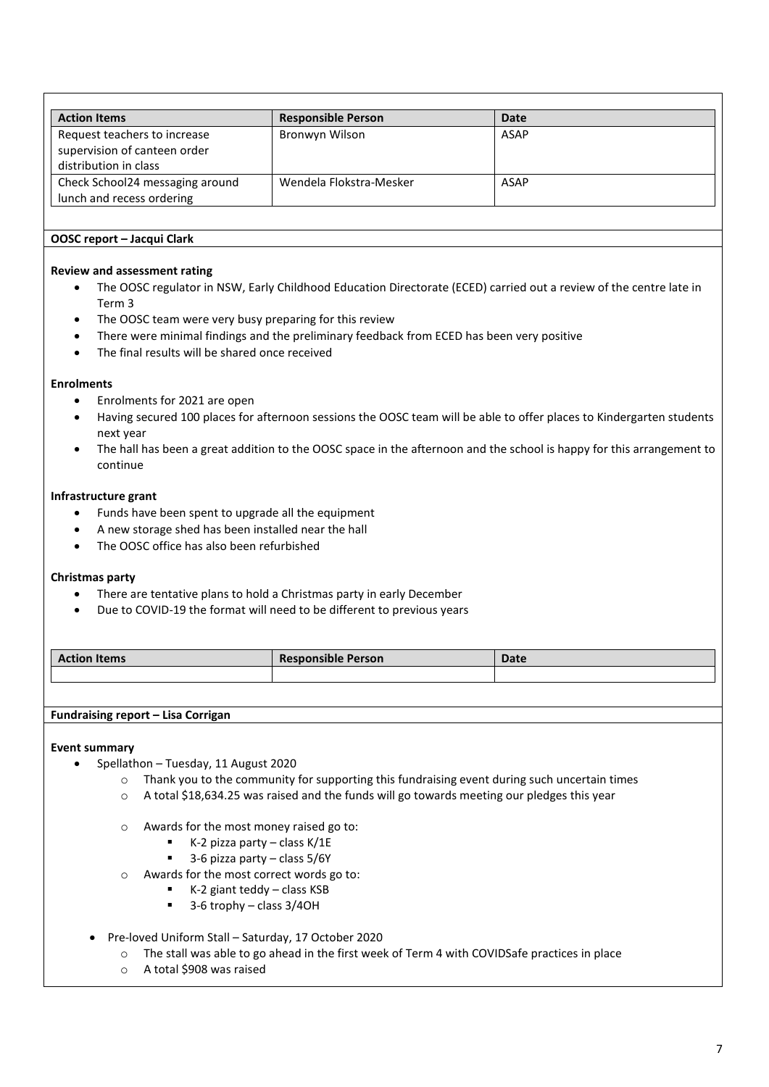| <b>Action Items</b>             | <b>Responsible Person</b> | Date        |
|---------------------------------|---------------------------|-------------|
| Request teachers to increase    | Bronwyn Wilson            | <b>ASAP</b> |
| supervision of canteen order    |                           |             |
| distribution in class           |                           |             |
| Check School24 messaging around | Wendela Flokstra-Mesker   | <b>ASAP</b> |
| lunch and recess ordering       |                           |             |

#### **OOSC report – Jacqui Clark**

#### **Review and assessment rating**

- The OOSC regulator in NSW, Early Childhood Education Directorate (ECED) carried out a review of the centre late in Term 3
- The OOSC team were very busy preparing for this review
- There were minimal findings and the preliminary feedback from ECED has been very positive
- The final results will be shared once received

#### **Enrolments**

- Enrolments for 2021 are open
- Having secured 100 places for afternoon sessions the OOSC team will be able to offer places to Kindergarten students next year
- The hall has been a great addition to the OOSC space in the afternoon and the school is happy for this arrangement to continue

#### **Infrastructure grant**

- Funds have been spent to upgrade all the equipment
- A new storage shed has been installed near the hall
- The OOSC office has also been refurbished

#### **Christmas party**

- There are tentative plans to hold a Christmas party in early December
- Due to COVID-19 the format will need to be different to previous years

| . . <b>. .</b> .<br>ction Items<br>. . | $\cdots$<br><b>Responsible Person</b> | <b>Date</b> |
|----------------------------------------|---------------------------------------|-------------|
|                                        |                                       |             |

#### **Fundraising report – Lisa Corrigan**

#### **Event summary**

- Spellathon Tuesday, 11 August 2020
	- $\circ$  Thank you to the community for supporting this fundraising event during such uncertain times
	- o A total \$18,634.25 was raised and the funds will go towards meeting our pledges this year
	- o Awards for the most money raised go to:
		- $\blacksquare$  K-2 pizza party class K/1E
		- $\blacksquare$  3-6 pizza party class 5/6Y
	- o Awards for the most correct words go to:
		- $\blacksquare$  K-2 giant teddy class KSB
		- 3-6 trophy class 3/4OH
- Pre-loved Uniform Stall Saturday, 17 October 2020
	- o The stall was able to go ahead in the first week of Term 4 with COVIDSafe practices in place
	- o A total \$908 was raised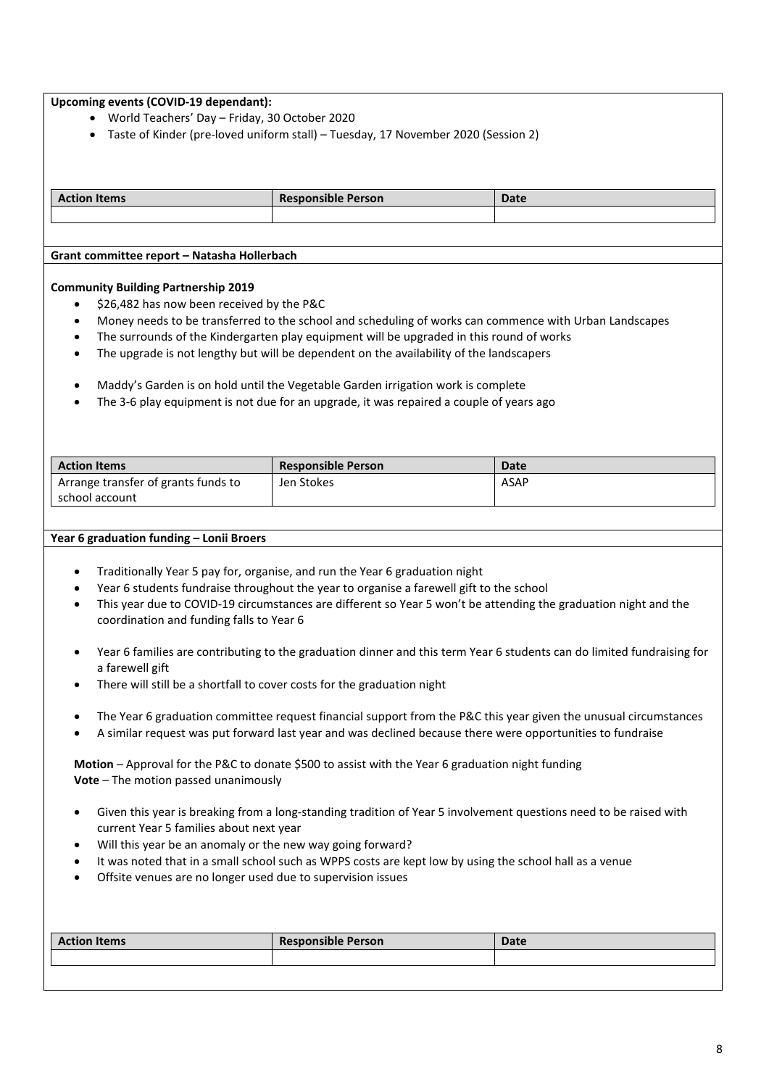#### **Upcoming events (COVID-19 dependant):**

- World Teachers' Day Friday, 30 October 2020
- Taste of Kinder (pre-loved uniform stall) Tuesday, 17 November 2020 (Session 2)

| <b>Action Items</b>                         | <b>Responsible Person</b> | Date |
|---------------------------------------------|---------------------------|------|
|                                             |                           |      |
|                                             |                           |      |
|                                             |                           |      |
| Grant committee report – Natasha Hollerbach |                           |      |

#### **Community Building Partnership 2019**

- \$26,482 has now been received by the P&C
- Money needs to be transferred to the school and scheduling of works can commence with Urban Landscapes
- The surrounds of the Kindergarten play equipment will be upgraded in this round of works
- The upgrade is not lengthy but will be dependent on the availability of the landscapers
- Maddy's Garden is on hold until the Vegetable Garden irrigation work is complete
- The 3-6 play equipment is not due for an upgrade, it was repaired a couple of years ago

| <b>Action Items</b>                 | <b>Responsible Person</b> | <b>Date</b> |
|-------------------------------------|---------------------------|-------------|
| Arrange transfer of grants funds to | Jen Stokes                | ASAP        |
| school account                      |                           |             |

#### **Year 6 graduation funding – Lonii Broers**

- Traditionally Year 5 pay for, organise, and run the Year 6 graduation night
- Year 6 students fundraise throughout the year to organise a farewell gift to the school
- This year due to COVID-19 circumstances are different so Year 5 won't be attending the graduation night and the coordination and funding falls to Year 6
- Year 6 families are contributing to the graduation dinner and this term Year 6 students can do limited fundraising for a farewell gift
- There will still be a shortfall to cover costs for the graduation night
- The Year 6 graduation committee request financial support from the P&C this year given the unusual circumstances
- A similar request was put forward last year and was declined because there were opportunities to fundraise

**Motion** – Approval for the P&C to donate \$500 to assist with the Year 6 graduation night funding **Vote** – The motion passed unanimously

- Given this year is breaking from a long-standing tradition of Year 5 involvement questions need to be raised with current Year 5 families about next year
- Will this year be an anomaly or the new way going forward?
- It was noted that in a small school such as WPPS costs are kept low by using the school hall as a venue
- Offsite venues are no longer used due to supervision issues

| <b>Action Items</b> | <b>Responsible Person</b> | <b>Date</b> |
|---------------------|---------------------------|-------------|
|                     |                           |             |
|                     |                           |             |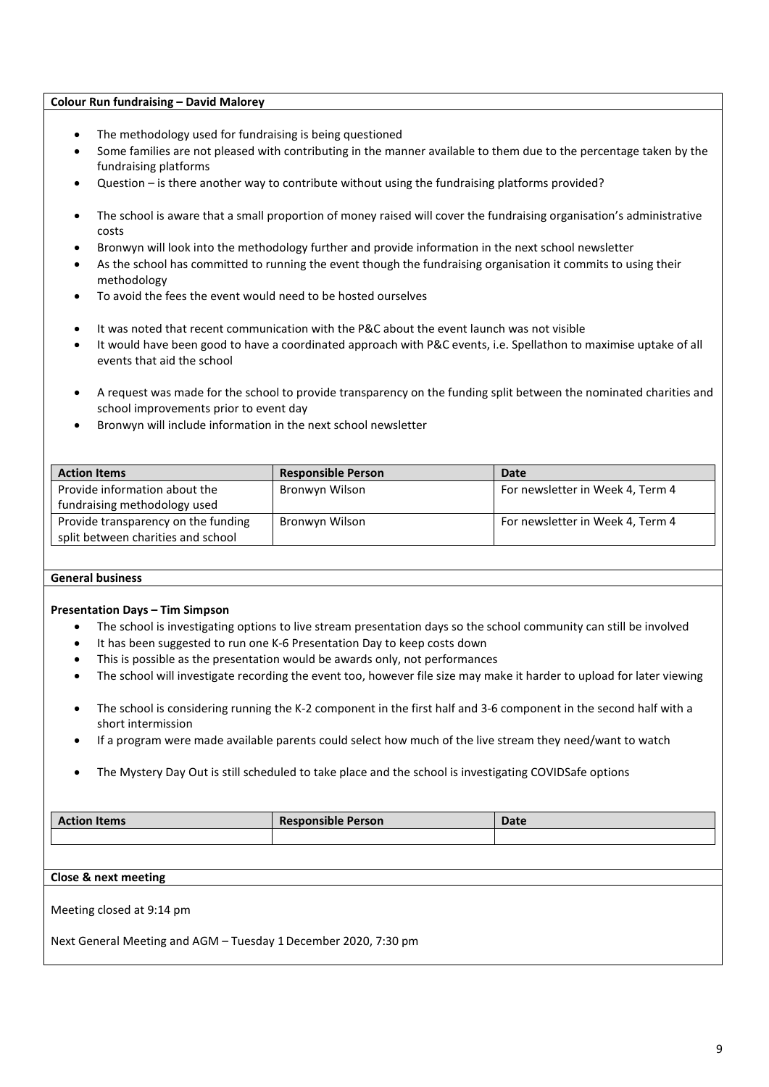#### **Colour Run fundraising – David Malorey**

- The methodology used for fundraising is being questioned
- Some families are not pleased with contributing in the manner available to them due to the percentage taken by the fundraising platforms
- Question is there another way to contribute without using the fundraising platforms provided?
- The school is aware that a small proportion of money raised will cover the fundraising organisation's administrative costs
- Bronwyn will look into the methodology further and provide information in the next school newsletter
- As the school has committed to running the event though the fundraising organisation it commits to using their methodology
- To avoid the fees the event would need to be hosted ourselves
- It was noted that recent communication with the P&C about the event launch was not visible
- It would have been good to have a coordinated approach with P&C events, i.e. Spellathon to maximise uptake of all events that aid the school
- A request was made for the school to provide transparency on the funding split between the nominated charities and school improvements prior to event day
- Bronwyn will include information in the next school newsletter

| <b>Action Items</b>                 | <b>Responsible Person</b> | <b>Date</b>                      |
|-------------------------------------|---------------------------|----------------------------------|
| Provide information about the       | Bronwyn Wilson            | For newsletter in Week 4, Term 4 |
| fundraising methodology used        |                           |                                  |
| Provide transparency on the funding | Bronwyn Wilson            | For newsletter in Week 4, Term 4 |
| split between charities and school  |                           |                                  |

#### **General business**

#### **Presentation Days – Tim Simpson**

- The school is investigating options to live stream presentation days so the school community can still be involved
- It has been suggested to run one K-6 Presentation Day to keep costs down
- This is possible as the presentation would be awards only, not performances
- The school will investigate recording the event too, however file size may make it harder to upload for later viewing
- The school is considering running the K-2 component in the first half and 3-6 component in the second half with a short intermission
- If a program were made available parents could select how much of the live stream they need/want to watch
- The Mystery Day Out is still scheduled to take place and the school is investigating COVIDSafe options

| <b>Action Items</b>                                             | <b>Responsible Person</b> | Date |
|-----------------------------------------------------------------|---------------------------|------|
|                                                                 |                           |      |
|                                                                 |                           |      |
| Close & next meeting                                            |                           |      |
| Meeting closed at 9:14 pm                                       |                           |      |
| Next General Meeting and AGM - Tuesday 1 December 2020, 7:30 pm |                           |      |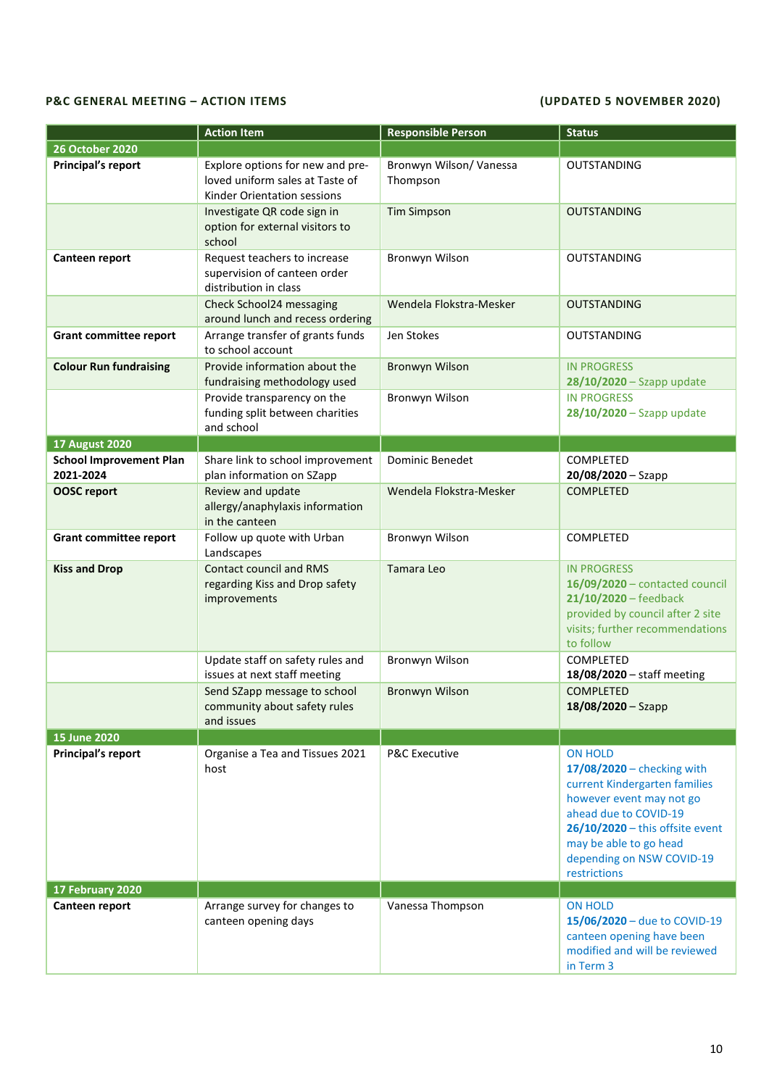## **P&C GENERAL MEETING – ACTION ITEMS (UPDATED 5 NOVEMBER 2020)**

|                                             | <b>Action Item</b>                                                                                 | <b>Responsible Person</b>           | <b>Status</b>                                                                                                                                                                                                                                    |
|---------------------------------------------|----------------------------------------------------------------------------------------------------|-------------------------------------|--------------------------------------------------------------------------------------------------------------------------------------------------------------------------------------------------------------------------------------------------|
| <b>26 October 2020</b>                      |                                                                                                    |                                     |                                                                                                                                                                                                                                                  |
| Principal's report                          | Explore options for new and pre-<br>loved uniform sales at Taste of<br>Kinder Orientation sessions | Bronwyn Wilson/ Vanessa<br>Thompson | <b>OUTSTANDING</b>                                                                                                                                                                                                                               |
|                                             | Investigate QR code sign in<br>option for external visitors to<br>school                           | <b>Tim Simpson</b>                  | <b>OUTSTANDING</b>                                                                                                                                                                                                                               |
| Canteen report                              | Request teachers to increase<br>supervision of canteen order<br>distribution in class              | Bronwyn Wilson                      | <b>OUTSTANDING</b>                                                                                                                                                                                                                               |
|                                             | Check School24 messaging<br>around lunch and recess ordering                                       | Wendela Flokstra-Mesker             | <b>OUTSTANDING</b>                                                                                                                                                                                                                               |
| <b>Grant committee report</b>               | Arrange transfer of grants funds<br>to school account                                              | Jen Stokes                          | <b>OUTSTANDING</b>                                                                                                                                                                                                                               |
| <b>Colour Run fundraising</b>               | Provide information about the<br>fundraising methodology used                                      | <b>Bronwyn Wilson</b>               | <b>IN PROGRESS</b><br>$28/10/2020 -$ Szapp update                                                                                                                                                                                                |
|                                             | Provide transparency on the<br>funding split between charities<br>and school                       | Bronwyn Wilson                      | <b>IN PROGRESS</b><br>$28/10/2020 -$ Szapp update                                                                                                                                                                                                |
| <b>17 August 2020</b>                       |                                                                                                    |                                     |                                                                                                                                                                                                                                                  |
| <b>School Improvement Plan</b><br>2021-2024 | Share link to school improvement<br>plan information on SZapp                                      | Dominic Benedet                     | <b>COMPLETED</b><br>20/08/2020 - Szapp                                                                                                                                                                                                           |
| <b>OOSC report</b>                          | Review and update<br>allergy/anaphylaxis information<br>in the canteen                             | Wendela Flokstra-Mesker             | <b>COMPLETED</b>                                                                                                                                                                                                                                 |
| <b>Grant committee report</b>               | Follow up quote with Urban<br>Landscapes                                                           | Bronwyn Wilson                      | <b>COMPLETED</b>                                                                                                                                                                                                                                 |
| <b>Kiss and Drop</b>                        | <b>Contact council and RMS</b><br>regarding Kiss and Drop safety<br>improvements                   | Tamara Leo                          | <b>IN PROGRESS</b><br>16/09/2020 - contacted council<br>$21/10/2020$ - feedback<br>provided by council after 2 site<br>visits; further recommendations<br>to follow                                                                              |
|                                             | Update staff on safety rules and<br>issues at next staff meeting                                   | Bronwyn Wilson                      | COMPLETED<br>18/08/2020 - staff meeting                                                                                                                                                                                                          |
|                                             | Send SZapp message to school<br>community about safety rules<br>and issues                         | <b>Bronwyn Wilson</b>               | <b>COMPLETED</b><br>18/08/2020 - Szapp                                                                                                                                                                                                           |
| <b>15 June 2020</b>                         |                                                                                                    |                                     |                                                                                                                                                                                                                                                  |
| Principal's report                          | Organise a Tea and Tissues 2021<br>host                                                            | <b>P&amp;C Executive</b>            | <b>ON HOLD</b><br>$17/08/2020$ – checking with<br>current Kindergarten families<br>however event may not go<br>ahead due to COVID-19<br>$26/10/2020$ – this offsite event<br>may be able to go head<br>depending on NSW COVID-19<br>restrictions |
| 17 February 2020                            |                                                                                                    |                                     |                                                                                                                                                                                                                                                  |
| Canteen report                              | Arrange survey for changes to<br>canteen opening days                                              | Vanessa Thompson                    | <b>ON HOLD</b><br>15/06/2020 - due to COVID-19<br>canteen opening have been<br>modified and will be reviewed<br>in Term 3                                                                                                                        |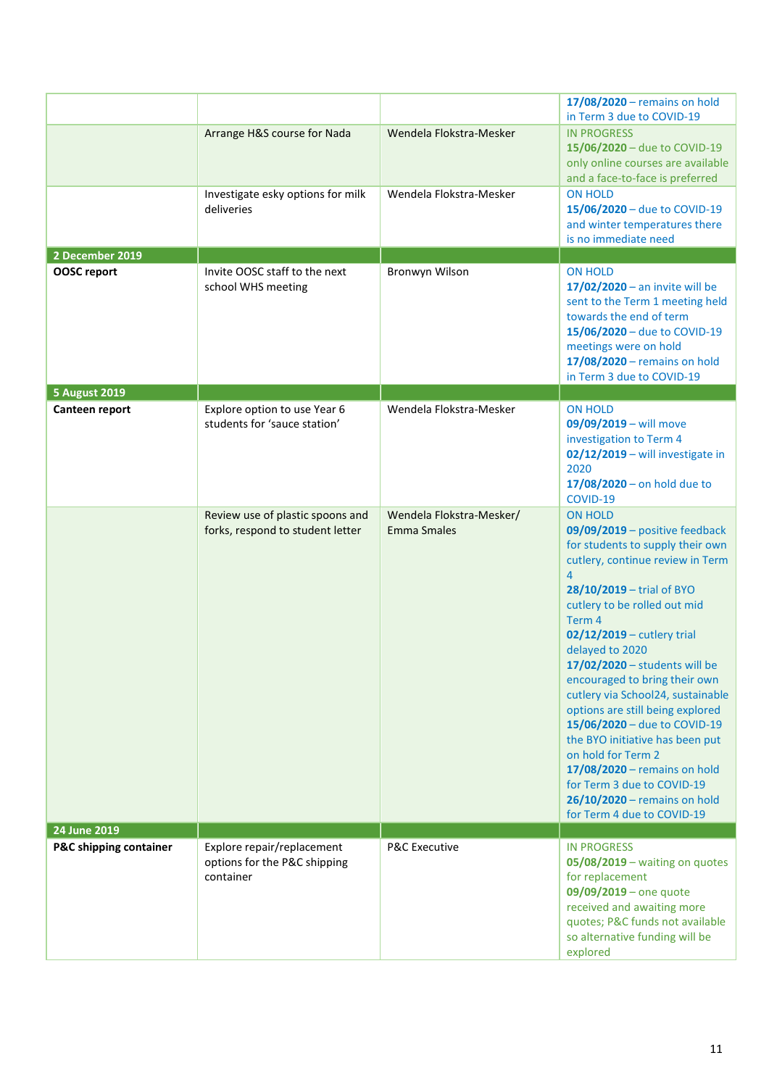|                        |                                                                         |                                                | $17/08/2020$ – remains on hold<br>in Term 3 due to COVID-19                                                                                                                                                                                                                                                                                                                                                                                                                                                                                                                                                               |
|------------------------|-------------------------------------------------------------------------|------------------------------------------------|---------------------------------------------------------------------------------------------------------------------------------------------------------------------------------------------------------------------------------------------------------------------------------------------------------------------------------------------------------------------------------------------------------------------------------------------------------------------------------------------------------------------------------------------------------------------------------------------------------------------------|
|                        | Arrange H&S course for Nada                                             | Wendela Flokstra-Mesker                        | <b>IN PROGRESS</b><br>15/06/2020 - due to COVID-19<br>only online courses are available<br>and a face-to-face is preferred                                                                                                                                                                                                                                                                                                                                                                                                                                                                                                |
|                        | Investigate esky options for milk<br>deliveries                         | Wendela Flokstra-Mesker                        | <b>ON HOLD</b><br>15/06/2020 - due to COVID-19<br>and winter temperatures there<br>is no immediate need                                                                                                                                                                                                                                                                                                                                                                                                                                                                                                                   |
| 2 December 2019        |                                                                         |                                                |                                                                                                                                                                                                                                                                                                                                                                                                                                                                                                                                                                                                                           |
| OOSC report            | Invite OOSC staff to the next<br>school WHS meeting                     | Bronwyn Wilson                                 | <b>ON HOLD</b><br>$17/02/2020$ - an invite will be<br>sent to the Term 1 meeting held<br>towards the end of term<br>15/06/2020 - due to COVID-19<br>meetings were on hold<br>17/08/2020 - remains on hold<br>in Term 3 due to COVID-19                                                                                                                                                                                                                                                                                                                                                                                    |
| <b>5 August 2019</b>   |                                                                         |                                                |                                                                                                                                                                                                                                                                                                                                                                                                                                                                                                                                                                                                                           |
| Canteen report         | Explore option to use Year 6<br>students for 'sauce station'            | Wendela Flokstra-Mesker                        | <b>ON HOLD</b><br>09/09/2019 - will move<br>investigation to Term 4<br>02/12/2019 - will investigate in<br>2020<br>$17/08/2020 -$ on hold due to<br>COVID-19                                                                                                                                                                                                                                                                                                                                                                                                                                                              |
|                        | Review use of plastic spoons and<br>forks, respond to student letter    | Wendela Flokstra-Mesker/<br><b>Emma Smales</b> | <b>ON HOLD</b><br>$09/09/2019$ – positive feedback<br>for students to supply their own<br>cutlery, continue review in Term<br>4<br>28/10/2019 - trial of BYO<br>cutlery to be rolled out mid<br>Term 4<br>02/12/2019 - cutlery trial<br>delayed to 2020<br>17/02/2020 - students will be<br>encouraged to bring their own<br>cutlery via School24, sustainable<br>options are still being explored<br>15/06/2020 - due to COVID-19<br>the BYO initiative has been put<br>on hold for Term 2<br>17/08/2020 - remains on hold<br>for Term 3 due to COVID-19<br>$26/10/2020$ – remains on hold<br>for Term 4 due to COVID-19 |
| 24 June 2019           |                                                                         |                                                |                                                                                                                                                                                                                                                                                                                                                                                                                                                                                                                                                                                                                           |
| P&C shipping container | Explore repair/replacement<br>options for the P&C shipping<br>container | <b>P&amp;C Executive</b>                       | <b>IN PROGRESS</b><br>05/08/2019 - waiting on quotes<br>for replacement<br>$09/09/2019$ – one quote<br>received and awaiting more<br>quotes; P&C funds not available<br>so alternative funding will be<br>explored                                                                                                                                                                                                                                                                                                                                                                                                        |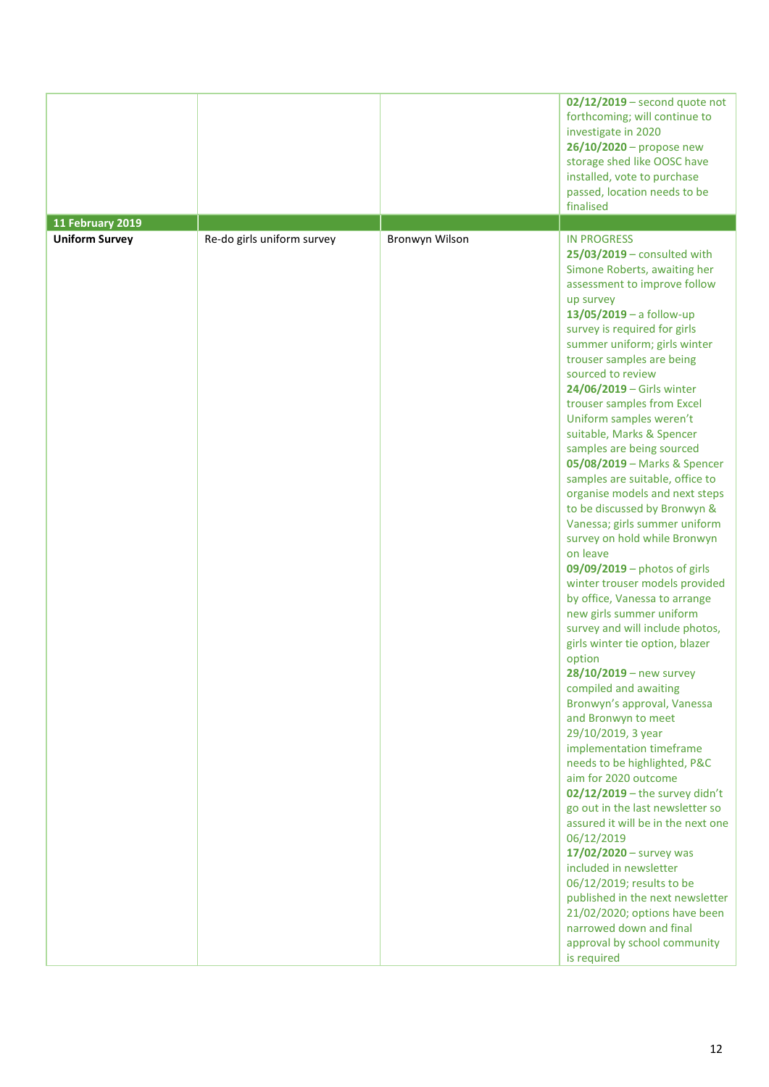|                       |                            |                | $02/12/2019$ – second quote not<br>forthcoming; will continue to<br>investigate in 2020<br>$26/10/2020$ – propose new<br>storage shed like OOSC have<br>installed, vote to purchase<br>passed, location needs to be<br>finalised                                                                                                                                                                                                                                                                                                                                                                                                                                                                                                                                                                                                                                                                                                                                                                                                                                                                                                                                                                                                                                                                                                                                                                                                                     |
|-----------------------|----------------------------|----------------|------------------------------------------------------------------------------------------------------------------------------------------------------------------------------------------------------------------------------------------------------------------------------------------------------------------------------------------------------------------------------------------------------------------------------------------------------------------------------------------------------------------------------------------------------------------------------------------------------------------------------------------------------------------------------------------------------------------------------------------------------------------------------------------------------------------------------------------------------------------------------------------------------------------------------------------------------------------------------------------------------------------------------------------------------------------------------------------------------------------------------------------------------------------------------------------------------------------------------------------------------------------------------------------------------------------------------------------------------------------------------------------------------------------------------------------------------|
| 11 February 2019      |                            |                |                                                                                                                                                                                                                                                                                                                                                                                                                                                                                                                                                                                                                                                                                                                                                                                                                                                                                                                                                                                                                                                                                                                                                                                                                                                                                                                                                                                                                                                      |
| <b>Uniform Survey</b> | Re-do girls uniform survey | Bronwyn Wilson | <b>IN PROGRESS</b><br>$25/03/2019$ – consulted with<br>Simone Roberts, awaiting her<br>assessment to improve follow<br>up survey<br>$13/05/2019 - a$ follow-up<br>survey is required for girls<br>summer uniform; girls winter<br>trouser samples are being<br>sourced to review<br>24/06/2019 - Girls winter<br>trouser samples from Excel<br>Uniform samples weren't<br>suitable, Marks & Spencer<br>samples are being sourced<br>05/08/2019 - Marks & Spencer<br>samples are suitable, office to<br>organise models and next steps<br>to be discussed by Bronwyn &<br>Vanessa; girls summer uniform<br>survey on hold while Bronwyn<br>on leave<br>09/09/2019 - photos of girls<br>winter trouser models provided<br>by office, Vanessa to arrange<br>new girls summer uniform<br>survey and will include photos,<br>girls winter tie option, blazer<br>option<br>28/10/2019 - new survey<br>compiled and awaiting<br>Bronwyn's approval, Vanessa<br>and Bronwyn to meet<br>29/10/2019, 3 year<br>implementation timeframe<br>needs to be highlighted, P&C<br>aim for 2020 outcome<br>$02/12/2019$ - the survey didn't<br>go out in the last newsletter so<br>assured it will be in the next one<br>06/12/2019<br>$17/02/2020 -$ survey was<br>included in newsletter<br>06/12/2019; results to be<br>published in the next newsletter<br>21/02/2020; options have been<br>narrowed down and final<br>approval by school community<br>is required |